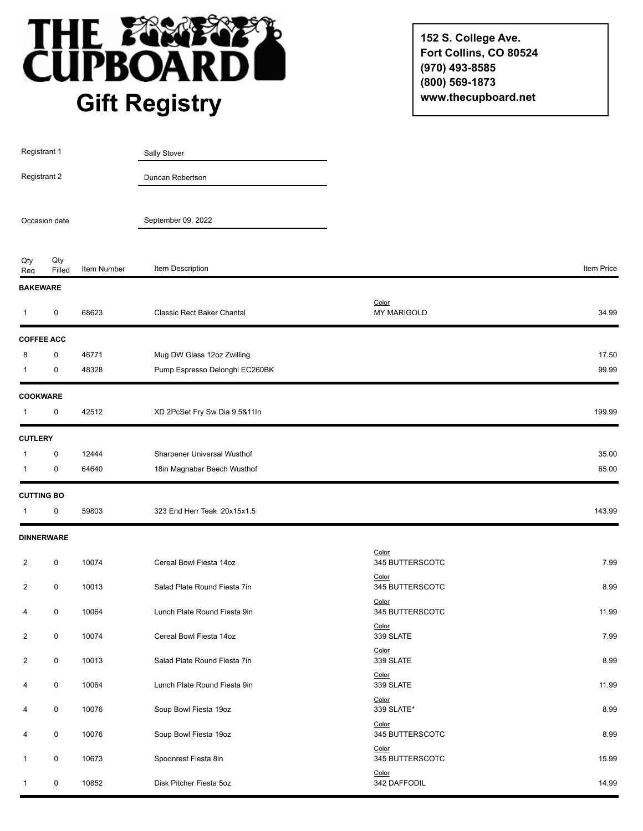

**152 S. College Ave. Fort Collins, CO 80524 (970) 493-8585 (800) 569-1873 www.thecupboard.net**

| Registrant 1<br>Registrant 2<br>Occasion date |                   |             | Sally Stover                   |                             |            |
|-----------------------------------------------|-------------------|-------------|--------------------------------|-----------------------------|------------|
|                                               |                   |             | Duncan Robertson               |                             |            |
|                                               |                   |             | September 09, 2022             |                             |            |
| Qty<br>Req                                    | Qty<br>Filled     | Item Number | Item Description               |                             | Item Price |
| <b>BAKEWARE</b>                               |                   |             |                                |                             |            |
| $\mathbf{1}$                                  | 0                 | 68623       | Classic Rect Baker Chantal     | Color<br><b>MY MARIGOLD</b> | 34.99      |
|                                               | <b>COFFEE ACC</b> |             |                                |                             |            |
| 8                                             | 0                 | 46771       | Mug DW Glass 12oz Zwilling     |                             | 17.50      |
| 1                                             | 0                 | 48328       | Pump Espresso Delonghi EC260BK |                             | 99.99      |
| <b>COOKWARE</b>                               |                   |             |                                |                             |            |
| 1                                             | 0                 | 42512       | XD 2PcSet Fry Sw Dia 9.5&11In  |                             | 199.99     |
| <b>CUTLERY</b>                                |                   |             |                                |                             |            |
| 1                                             | 0                 | 12444       | Sharpener Universal Wusthof    |                             | 35.00      |
| $\mathbf 1$                                   | 0                 | 64640       | 18in Magnabar Beech Wusthof    |                             | 65.00      |
| <b>CUTTING BO</b>                             |                   |             |                                |                             |            |
| $\overline{1}$                                | 0                 | 59803       | 323 End Herr Teak 20x15x1.5    |                             | 143.99     |
|                                               | <b>DINNERWARE</b> |             |                                |                             |            |
| $\overline{2}$                                | 0                 | 10074       | Cereal Bowl Fiesta 14oz        | Color<br>345 BUTTERSCOTC    | 7.99       |
| 2                                             | 0                 | 10013       | Salad Plate Round Fiesta 7in   | Color<br>345 BUTTERSCOTC    | 8.99       |
| 4                                             | 0                 | 10064       | Lunch Plate Round Fiesta 9in   | Color<br>345 BUTTERSCOTC    | 11.99      |
| $\overline{2}$                                | $\pmb{0}$         | 10074       | Cereal Bowl Fiesta 14oz        | Color<br>339 SLATE          | 7.99       |
| $\overline{2}$                                | 0                 | 10013       | Salad Plate Round Fiesta 7in   | Color<br>339 SLATE          | 8.99       |
| 4                                             | 0                 | 10064       | Lunch Plate Round Fiesta 9in   | Color<br>339 SLATE          | 11.99      |
| 4                                             | 0                 | 10076       | Soup Bowl Fiesta 19oz          | Color<br>339 SLATE*         | 8.99       |
| 4                                             | 0                 | 10076       | Soup Bowl Fiesta 19oz          | Color<br>345 BUTTERSCOTC    | 8.99       |
| 1                                             | 0                 | 10673       | Spoonrest Fiesta 8in           | Color<br>345 BUTTERSCOTC    | 15.99      |
| 1                                             | 0                 | 10852       | Disk Pitcher Fiesta 5oz        | Color<br>342 DAFFODIL       | 14.99      |